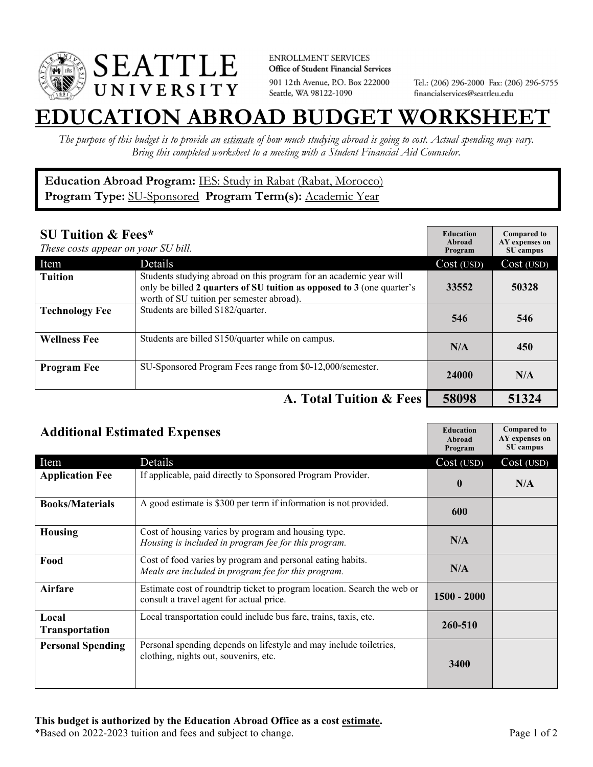

**ENROLLMENT SERVICES** Office of Student Financial Services 901 12th Avenue, P.O. Box 222000 Seattle, WA 98122-1090

Tel.: (206) 296-2000 Fax: (206) 296-5755 financialservices@seattleu.edu

## **EATION ABROAD BUDGET WORKSHEE**

*The purpose of this budget is to provide an estimate of how much studying abroad is going to cost. Actual spending may vary. Bring this completed worksheet to a meeting with a Student Financial Aid Counselor.* 

**Education Abroad Program:** IES: Study in Rabat (Rabat, Morocco) Program Type: **SU-Sponsored** Program Term(s): **Academic Year** 

| <b>SU Tuition &amp; Fees*</b><br>These costs appear on your SU bill. |                                                                                                                                                                                           | <b>Education</b><br>Abroad<br>Program | <b>Compared to</b><br>AY expenses on<br>SU campus |
|----------------------------------------------------------------------|-------------------------------------------------------------------------------------------------------------------------------------------------------------------------------------------|---------------------------------------|---------------------------------------------------|
| Item                                                                 | Details                                                                                                                                                                                   | Cost (USD)                            | Cost (USD)                                        |
| <b>Tuition</b>                                                       | Students studying abroad on this program for an academic year will<br>only be billed 2 quarters of SU tuition as opposed to 3 (one quarter's<br>worth of SU tuition per semester abroad). | 33552                                 | 50328                                             |
| <b>Technology Fee</b>                                                | Students are billed \$182/quarter.                                                                                                                                                        | 546                                   | 546                                               |
| <b>Wellness Fee</b>                                                  | Students are billed \$150/quarter while on campus.                                                                                                                                        | N/A                                   | 450                                               |
| <b>Program Fee</b>                                                   | SU-Sponsored Program Fees range from \$0-12,000/semester.                                                                                                                                 | 24000                                 | N/A                                               |
|                                                                      | A. Total Tuition & Fees                                                                                                                                                                   | 58098                                 | 51324                                             |

| <b>Additional Estimated Expenses</b> |                                                                                                                      | <b>Education</b><br>Abroad<br>Program | <b>Compared to</b><br>AY expenses on<br>SU campus |
|--------------------------------------|----------------------------------------------------------------------------------------------------------------------|---------------------------------------|---------------------------------------------------|
| Item                                 | Details                                                                                                              | Cost (USD)                            | Cost (USD)                                        |
| <b>Application Fee</b>               | If applicable, paid directly to Sponsored Program Provider.                                                          | $\mathbf{0}$                          | N/A                                               |
| <b>Books/Materials</b>               | A good estimate is \$300 per term if information is not provided.                                                    | 600                                   |                                                   |
| <b>Housing</b>                       | Cost of housing varies by program and housing type.<br>Housing is included in program fee for this program.          | N/A                                   |                                                   |
| Food                                 | Cost of food varies by program and personal eating habits.<br>Meals are included in program fee for this program.    | N/A                                   |                                                   |
| <b>Airfare</b>                       | Estimate cost of roundtrip ticket to program location. Search the web or<br>consult a travel agent for actual price. | $1500 - 2000$                         |                                                   |
| Local<br><b>Transportation</b>       | Local transportation could include bus fare, trains, taxis, etc.                                                     | 260-510                               |                                                   |
| <b>Personal Spending</b>             | Personal spending depends on lifestyle and may include toiletries,<br>clothing, nights out, souvenirs, etc.          | 3400                                  |                                                   |

\*Based on 2022-2023 tuition and fees and subject to change. Page 1 of 2